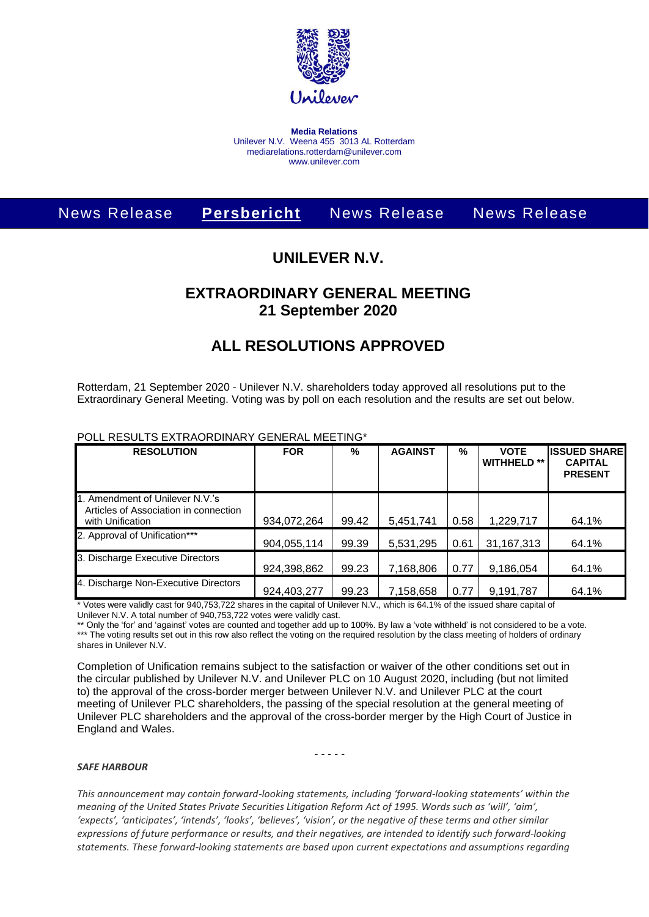

**Media Relations** Unilever N.V. Weena 455 3013 AL Rotterdam mediarelations.rotterdam@unilever.com www.unilever.com

# News Release **Persbericht** News Release News Release

### **UNILEVER N.V.**

## **EXTRAORDINARY GENERAL MEETING 21 September 2020**

### **ALL RESOLUTIONS APPROVED**

Rotterdam, 21 September 2020 - Unilever N.V. shareholders today approved all resolutions put to the Extraordinary General Meeting. Voting was by poll on each resolution and the results are set out below.

| <b>RESOLUTION</b>                                                                            | <b>FOR</b>  | %     | <b>AGAINST</b> | %    | <b>VOTE</b><br><b>WITHHELD **</b> | <b>ISSUED SHARE</b><br><b>CAPITAL</b><br><b>PRESENT</b> |
|----------------------------------------------------------------------------------------------|-------------|-------|----------------|------|-----------------------------------|---------------------------------------------------------|
| 1. Amendment of Unilever N.V.'s<br>Articles of Association in connection<br>with Unification | 934,072,264 | 99.42 | 5,451,741      | 0.58 | 1,229,717                         | 64.1%                                                   |
| 2. Approval of Unification***                                                                | 904,055,114 | 99.39 | 5,531,295      | 0.61 | 31, 167, 313                      | 64.1%                                                   |
| 3. Discharge Executive Directors                                                             | 924,398,862 | 99.23 | 7,168,806      | 0.77 | 9,186,054                         | 64.1%                                                   |
| 4. Discharge Non-Executive Directors                                                         | 924,403,277 | 99.23 | 7,158,658      | 0.77 | 9,191,787                         | 64.1%                                                   |

#### POLL RESULTS EXTRAORDINARY GENERAL MEETING\*

\* Votes were validly cast for 940,753,722 shares in the capital of Unilever N.V., which is 64.1% of the issued share capital of Unilever N.V. A total number of 940,753,722 votes were validly cast.

\*\* Only the 'for' and 'against' votes are counted and together add up to 100%. By law a 'vote withheld' is not considered to be a vote. \*\*\* The voting results set out in this row also reflect the voting on the required resolution by the class meeting of holders of ordinary shares in Unilever N.V.

Completion of Unification remains subject to the satisfaction or waiver of the other conditions set out in the circular published by Unilever N.V. and Unilever PLC on 10 August 2020, including (but not limited to) the approval of the cross-border merger between Unilever N.V. and Unilever PLC at the court meeting of Unilever PLC shareholders, the passing of the special resolution at the general meeting of Unilever PLC shareholders and the approval of the cross-border merger by the High Court of Justice in England and Wales.

- - - - -

#### *SAFE HARBOUR*

*This announcement may contain forward-looking statements, including 'forward-looking statements' within the meaning of the United States Private Securities Litigation Reform Act of 1995. Words such as 'will', 'aim', 'expects', 'anticipates', 'intends', 'looks', 'believes', 'vision', or the negative of these terms and other similar expressions of future performance or results, and their negatives, are intended to identify such forward-looking statements. These forward-looking statements are based upon current expectations and assumptions regarding*